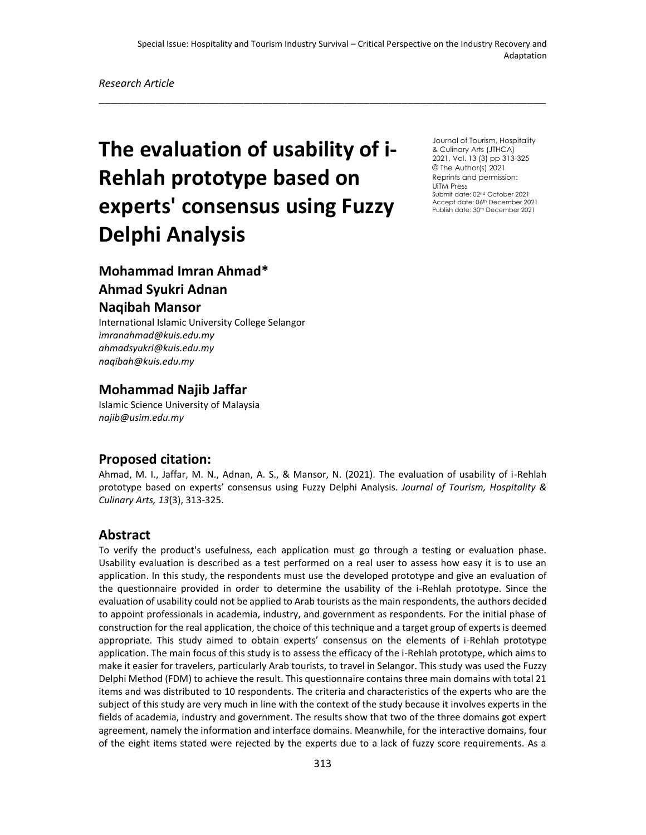\_\_\_\_\_\_\_\_\_\_\_\_\_\_\_\_\_\_\_\_\_\_\_\_\_\_\_\_\_\_\_\_\_\_\_\_\_\_\_\_\_\_\_\_\_\_\_\_\_\_\_\_\_\_\_\_\_\_\_\_\_\_\_\_\_\_\_\_\_\_\_

# **The evaluation of usability of i-Rehlah prototype based on experts' consensus using Fuzzy Delphi Analysis**

Journal of Tourism, Hospitality & Culinary Arts (JTHCA) 2021, Vol. 13 (3) pp 313-325 © The Author(s) 2021 Reprints and permission: UiTM Press Submit date: 02nd October 2021 Accept date: 06th December 2021 Publish date: 30<sup>th</sup> December 2021

# **Mohammad Imran Ahmad\***

# **Ahmad Syukri Adnan**

#### **Naqibah Mansor**

International Islamic University College Selangor *[imranahmad@kuis.edu.my](mailto:rajanisarangal58@gmail.com) ahmadsyukri@kuis.edu.my naqibah@kuis.edu.my*

## **Mohammad Najib Jaffar**

Islamic Science University of Malaysia *najib@usim.edu.my*

#### **Proposed citation:**

Ahmad, M. I., Jaffar, M. N., Adnan, A. S., & Mansor, N. (2021). The evaluation of usability of i-Rehlah prototype based on experts' consensus using Fuzzy Delphi Analysis. *Journal of Tourism, Hospitality & Culinary Arts, 13*(3), 313-325.

#### **Abstract**

To verify the product's usefulness, each application must go through a testing or evaluation phase. Usability evaluation is described as a test performed on a real user to assess how easy it is to use an application. In this study, the respondents must use the developed prototype and give an evaluation of the questionnaire provided in order to determine the usability of the i-Rehlah prototype. Since the evaluation of usability could not be applied to Arab tourists as the main respondents, the authors decided to appoint professionals in academia, industry, and government as respondents. For the initial phase of construction for the real application, the choice of this technique and a target group of experts is deemed appropriate. This study aimed to obtain experts' consensus on the elements of i-Rehlah prototype application. The main focus of this study is to assess the efficacy of the i-Rehlah prototype, which aims to make it easier for travelers, particularly Arab tourists, to travel in Selangor. This study was used the Fuzzy Delphi Method (FDM) to achieve the result. This questionnaire contains three main domains with total 21 items and was distributed to 10 respondents. The criteria and characteristics of the experts who are the subject of this study are very much in line with the context of the study because it involves experts in the fields of academia, industry and government. The results show that two of the three domains got expert agreement, namely the information and interface domains. Meanwhile, for the interactive domains, four of the eight items stated were rejected by the experts due to a lack of fuzzy score requirements. As a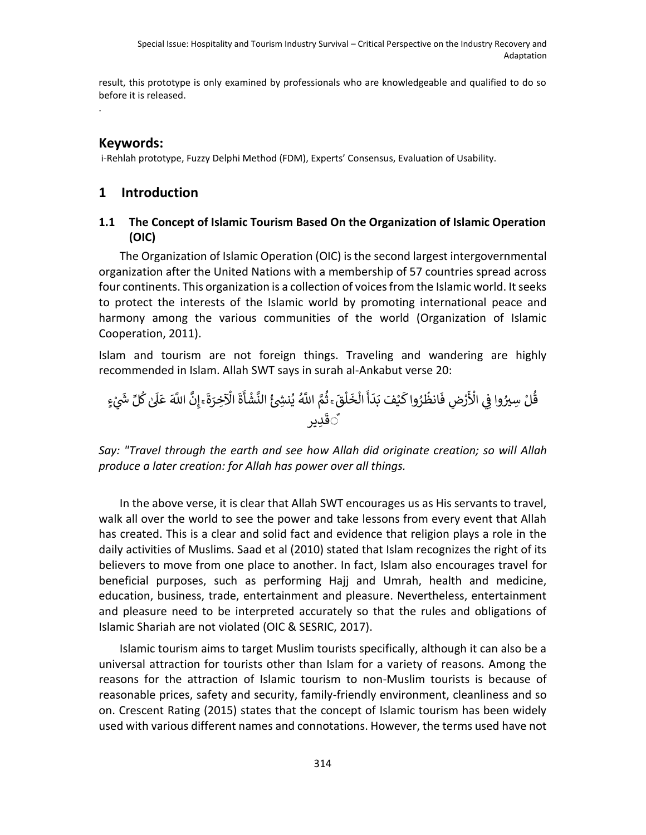result, this prototype is only examined by professionals who are knowledgeable and qualified to do so before it is released.

## **Keywords:**

.

i-Rehlah prototype, Fuzzy Delphi Method (FDM), Experts' Consensus, Evaluation of Usability.

# **1 Introduction**

### **1.1 The Concept of Islamic Tourism Based On the Organization of Islamic Operation (OIC)**

The Organization of Islamic Operation (OIC) is the second largest intergovernmental organization after the United Nations with a membership of 57 countries spread across four continents. This organization is a collection of voices from the Islamic world. It seeks to protect the interests of the Islamic world by promoting international peace and harmony among the various communities of the world (Organization of Islamic Cooperation, 2011).

Islam and tourism are not foreign things. Traveling and wandering are highly recommended in Islam. Allah SWT says in surah al-Ankabut verse 20:

اَّلل ه َ َّ ِن ۚ إ َ ة ِخرَ ْ اْل َ ة َ أ ْ ش َّ الن ُ ئ ش ِ ن ُ ي اَّلل ه ُ َّ م ُ ۚ ث َ ق ْ ل َ خ ْ ال َ أ َ د َ ْ َف <sup>ب</sup> ي َ واك رُ ُ انظ َ ِض ف ْ ر َ ْ اْل ِي وا ف ِسريُ لْ ُ ق ٍء ْ ي لِّ ش َ ُ ك ٰ َ َل َ ع ِدير َ ٌق

*Say: "Travel through the earth and see how Allah did originate creation; so will Allah produce a later creation: for Allah has power over all things.*

In the above verse, it is clear that Allah SWT encourages us as His servants to travel, walk all over the world to see the power and take lessons from every event that Allah has created. This is a clear and solid fact and evidence that religion plays a role in the daily activities of Muslims. Saad et al (2010) stated that Islam recognizes the right of its believers to move from one place to another. In fact, Islam also encourages travel for beneficial purposes, such as performing Hajj and Umrah, health and medicine, education, business, trade, entertainment and pleasure. Nevertheless, entertainment and pleasure need to be interpreted accurately so that the rules and obligations of Islamic Shariah are not violated (OIC & SESRIC, 2017).

Islamic tourism aims to target Muslim tourists specifically, although it can also be a universal attraction for tourists other than Islam for a variety of reasons. Among the reasons for the attraction of Islamic tourism to non-Muslim tourists is because of reasonable prices, safety and security, family-friendly environment, cleanliness and so on. Crescent Rating (2015) states that the concept of Islamic tourism has been widely used with various different names and connotations. However, the terms used have not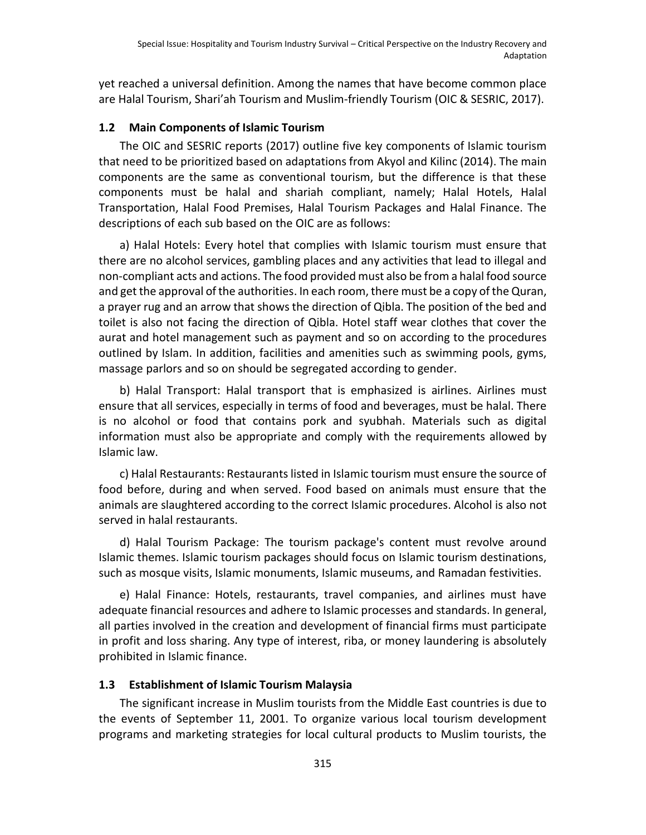yet reached a universal definition. Among the names that have become common place are Halal Tourism, Shari'ah Tourism and Muslim-friendly Tourism (OIC & SESRIC, 2017).

#### **1.2 Main Components of Islamic Tourism**

The OIC and SESRIC reports (2017) outline five key components of Islamic tourism that need to be prioritized based on adaptations from Akyol and Kilinc (2014). The main components are the same as conventional tourism, but the difference is that these components must be halal and shariah compliant, namely; Halal Hotels, Halal Transportation, Halal Food Premises, Halal Tourism Packages and Halal Finance. The descriptions of each sub based on the OIC are as follows:

a) Halal Hotels: Every hotel that complies with Islamic tourism must ensure that there are no alcohol services, gambling places and any activities that lead to illegal and non-compliant acts and actions. The food provided must also be from a halal food source and get the approval of the authorities. In each room, there must be a copy of the Quran, a prayer rug and an arrow that shows the direction of Qibla. The position of the bed and toilet is also not facing the direction of Qibla. Hotel staff wear clothes that cover the aurat and hotel management such as payment and so on according to the procedures outlined by Islam. In addition, facilities and amenities such as swimming pools, gyms, massage parlors and so on should be segregated according to gender.

b) Halal Transport: Halal transport that is emphasized is airlines. Airlines must ensure that all services, especially in terms of food and beverages, must be halal. There is no alcohol or food that contains pork and syubhah. Materials such as digital information must also be appropriate and comply with the requirements allowed by Islamic law.

c) Halal Restaurants: Restaurants listed in Islamic tourism must ensure the source of food before, during and when served. Food based on animals must ensure that the animals are slaughtered according to the correct Islamic procedures. Alcohol is also not served in halal restaurants.

d) Halal Tourism Package: The tourism package's content must revolve around Islamic themes. Islamic tourism packages should focus on Islamic tourism destinations, such as mosque visits, Islamic monuments, Islamic museums, and Ramadan festivities.

e) Halal Finance: Hotels, restaurants, travel companies, and airlines must have adequate financial resources and adhere to Islamic processes and standards. In general, all parties involved in the creation and development of financial firms must participate in profit and loss sharing. Any type of interest, riba, or money laundering is absolutely prohibited in Islamic finance.

#### **1.3 Establishment of Islamic Tourism Malaysia**

The significant increase in Muslim tourists from the Middle East countries is due to the events of September 11, 2001. To organize various local tourism development programs and marketing strategies for local cultural products to Muslim tourists, the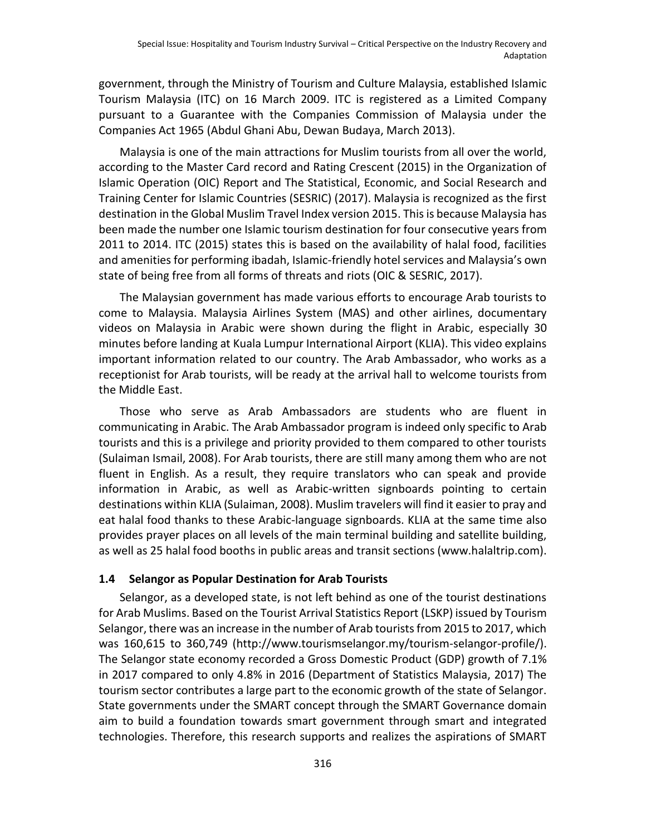government, through the Ministry of Tourism and Culture Malaysia, established Islamic Tourism Malaysia (ITC) on 16 March 2009. ITC is registered as a Limited Company pursuant to a Guarantee with the Companies Commission of Malaysia under the Companies Act 1965 (Abdul Ghani Abu, Dewan Budaya, March 2013).

Malaysia is one of the main attractions for Muslim tourists from all over the world, according to the Master Card record and Rating Crescent (2015) in the Organization of Islamic Operation (OIC) Report and The Statistical, Economic, and Social Research and Training Center for Islamic Countries (SESRIC) (2017). Malaysia is recognized as the first destination in the Global Muslim Travel Index version 2015. This is because Malaysia has been made the number one Islamic tourism destination for four consecutive years from 2011 to 2014. ITC (2015) states this is based on the availability of halal food, facilities and amenities for performing ibadah, Islamic-friendly hotel services and Malaysia's own state of being free from all forms of threats and riots (OIC & SESRIC, 2017).

The Malaysian government has made various efforts to encourage Arab tourists to come to Malaysia. Malaysia Airlines System (MAS) and other airlines, documentary videos on Malaysia in Arabic were shown during the flight in Arabic, especially 30 minutes before landing at Kuala Lumpur International Airport (KLIA). This video explains important information related to our country. The Arab Ambassador, who works as a receptionist for Arab tourists, will be ready at the arrival hall to welcome tourists from the Middle East.

Those who serve as Arab Ambassadors are students who are fluent in communicating in Arabic. The Arab Ambassador program is indeed only specific to Arab tourists and this is a privilege and priority provided to them compared to other tourists (Sulaiman Ismail, 2008). For Arab tourists, there are still many among them who are not fluent in English. As a result, they require translators who can speak and provide information in Arabic, as well as Arabic-written signboards pointing to certain destinations within KLIA (Sulaiman, 2008). Muslim travelers will find it easier to pray and eat halal food thanks to these Arabic-language signboards. KLIA at the same time also provides prayer places on all levels of the main terminal building and satellite building, as well as 25 halal food booths in public areas and transit sections (www.halaltrip.com).

#### **1.4 Selangor as Popular Destination for Arab Tourists**

Selangor, as a developed state, is not left behind as one of the tourist destinations for Arab Muslims. Based on the Tourist Arrival Statistics Report (LSKP) issued by Tourism Selangor, there was an increase in the number of Arab tourists from 2015 to 2017, which was 160,615 to 360,749 (http://www.tourismselangor.my/tourism-selangor-profile/). The Selangor state economy recorded a Gross Domestic Product (GDP) growth of 7.1% in 2017 compared to only 4.8% in 2016 (Department of Statistics Malaysia, 2017) The tourism sector contributes a large part to the economic growth of the state of Selangor. State governments under the SMART concept through the SMART Governance domain aim to build a foundation towards smart government through smart and integrated technologies. Therefore, this research supports and realizes the aspirations of SMART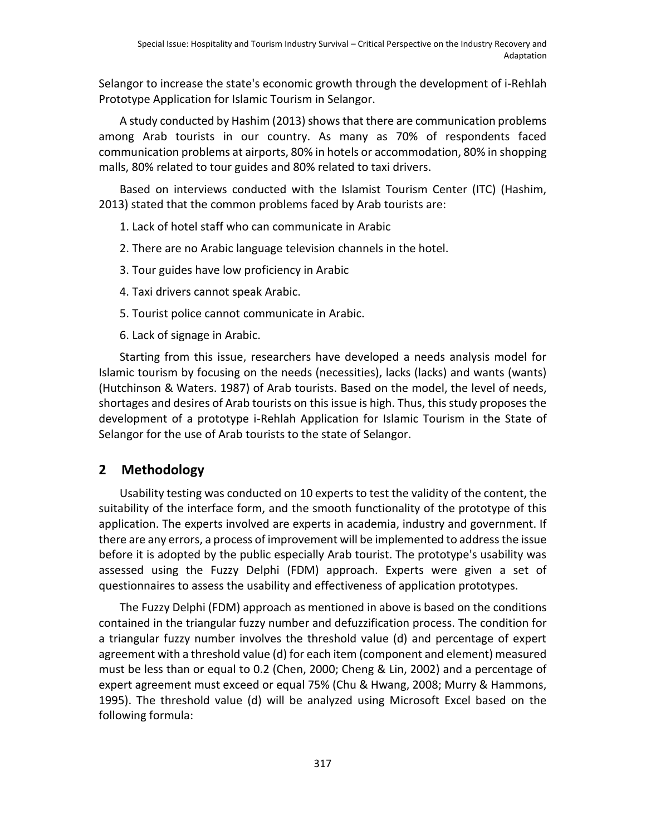Selangor to increase the state's economic growth through the development of i-Rehlah Prototype Application for Islamic Tourism in Selangor.

A study conducted by Hashim (2013) shows that there are communication problems among Arab tourists in our country. As many as 70% of respondents faced communication problems at airports, 80% in hotels or accommodation, 80% in shopping malls, 80% related to tour guides and 80% related to taxi drivers.

Based on interviews conducted with the Islamist Tourism Center (ITC) (Hashim, 2013) stated that the common problems faced by Arab tourists are:

- 1. Lack of hotel staff who can communicate in Arabic
- 2. There are no Arabic language television channels in the hotel.
- 3. Tour guides have low proficiency in Arabic
- 4. Taxi drivers cannot speak Arabic.
- 5. Tourist police cannot communicate in Arabic.
- 6. Lack of signage in Arabic.

Starting from this issue, researchers have developed a needs analysis model for Islamic tourism by focusing on the needs (necessities), lacks (lacks) and wants (wants) (Hutchinson & Waters. 1987) of Arab tourists. Based on the model, the level of needs, shortages and desires of Arab tourists on this issue is high. Thus, this study proposes the development of a prototype i-Rehlah Application for Islamic Tourism in the State of Selangor for the use of Arab tourists to the state of Selangor.

# **2 Methodology**

Usability testing was conducted on 10 experts to test the validity of the content, the suitability of the interface form, and the smooth functionality of the prototype of this application. The experts involved are experts in academia, industry and government. If there are any errors, a process of improvement will be implemented to address the issue before it is adopted by the public especially Arab tourist. The prototype's usability was assessed using the Fuzzy Delphi (FDM) approach. Experts were given a set of questionnaires to assess the usability and effectiveness of application prototypes.

The Fuzzy Delphi (FDM) approach as mentioned in above is based on the conditions contained in the triangular fuzzy number and defuzzification process. The condition for a triangular fuzzy number involves the threshold value (d) and percentage of expert agreement with a threshold value (d) for each item (component and element) measured must be less than or equal to 0.2 (Chen, 2000; Cheng & Lin, 2002) and a percentage of expert agreement must exceed or equal 75% (Chu & Hwang, 2008; Murry & Hammons, 1995). The threshold value (d) will be analyzed using Microsoft Excel based on the following formula: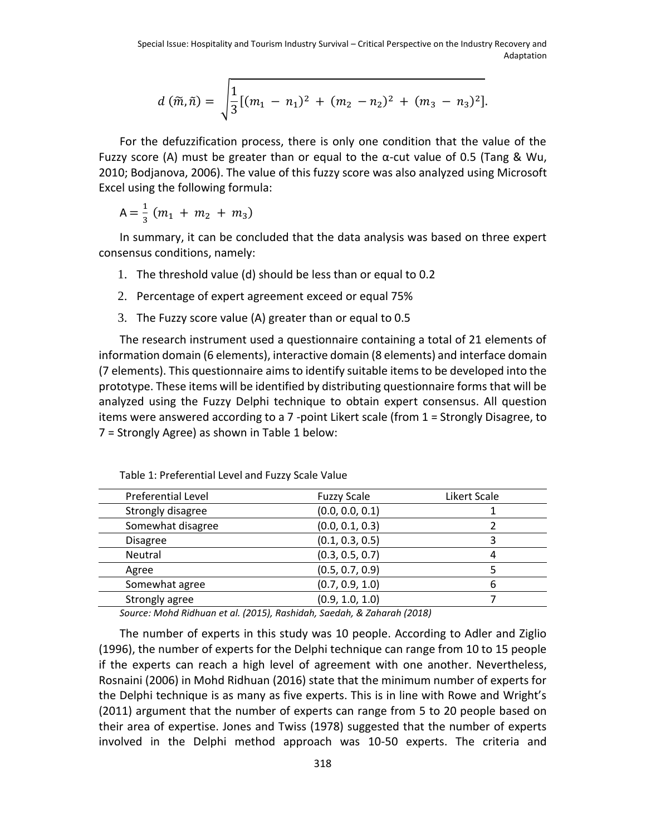$$
d\left(\tilde{m},\tilde{n}\right)=\sqrt{\frac{1}{3}\left[(m_1-n_1)^2+(m_2-n_2)^2+(m_3-n_3)^2\right]}.
$$

For the defuzzification process, there is only one condition that the value of the Fuzzy score (A) must be greater than or equal to the  $\alpha$ -cut value of 0.5 (Tang & Wu, 2010; Bodjanova, 2006). The value of this fuzzy score was also analyzed using Microsoft Excel using the following formula:

$$
A = \frac{1}{3} (m_1 + m_2 + m_3)
$$

In summary, it can be concluded that the data analysis was based on three expert consensus conditions, namely:

- 1. The threshold value (d) should be less than or equal to 0.2
- 2. Percentage of expert agreement exceed or equal 75%
- 3. The Fuzzy score value (A) greater than or equal to 0.5

The research instrument used a questionnaire containing a total of 21 elements of information domain (6 elements), interactive domain (8 elements) and interface domain (7 elements). This questionnaire aims to identify suitable items to be developed into the prototype. These items will be identified by distributing questionnaire forms that will be analyzed using the Fuzzy Delphi technique to obtain expert consensus. All question items were answered according to a 7 -point Likert scale (from 1 = Strongly Disagree, to 7 = Strongly Agree) as shown in Table 1 below:

| Preferential Level | <b>Fuzzy Scale</b> | Likert Scale |
|--------------------|--------------------|--------------|
| Strongly disagree  | (0.0, 0.0, 0.1)    |              |
| Somewhat disagree  | (0.0, 0.1, 0.3)    |              |
| <b>Disagree</b>    | (0.1, 0.3, 0.5)    |              |
| Neutral            | (0.3, 0.5, 0.7)    | 4            |
| Agree              | (0.5, 0.7, 0.9)    |              |
| Somewhat agree     | (0.7, 0.9, 1.0)    | 6            |
| Strongly agree     | (0.9, 1.0, 1.0)    |              |
|                    |                    |              |

Table 1: Preferential Level and Fuzzy Scale Value

*Source: Mohd Ridhuan et al. (2015), Rashidah, Saedah, & Zaharah (2018)*

The number of experts in this study was 10 people. According to Adler and Ziglio (1996), the number of experts for the Delphi technique can range from 10 to 15 people if the experts can reach a high level of agreement with one another. Nevertheless, Rosnaini (2006) in Mohd Ridhuan (2016) state that the minimum number of experts for the Delphi technique is as many as five experts. This is in line with Rowe and Wright's (2011) argument that the number of experts can range from 5 to 20 people based on their area of expertise. Jones and Twiss (1978) suggested that the number of experts involved in the Delphi method approach was 10-50 experts. The criteria and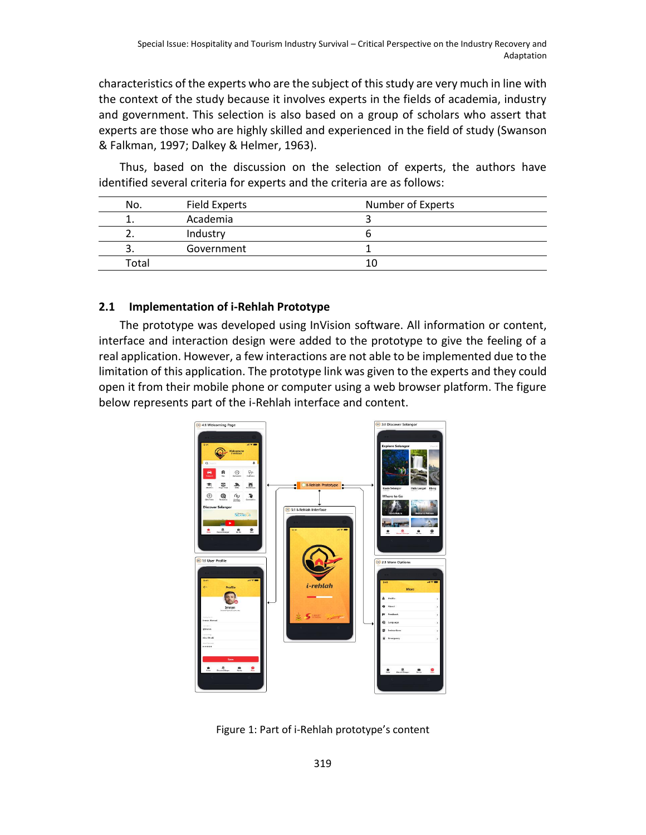characteristics of the experts who are the subject of this study are very much in line with the context of the study because it involves experts in the fields of academia, industry and government. This selection is also based on a group of scholars who assert that experts are those who are highly skilled and experienced in the field of study (Swanson & Falkman, 1997; Dalkey & Helmer, 1963).

Thus, based on the discussion on the selection of experts, the authors have identified several criteria for experts and the criteria are as follows:

| No.   | Field Experts | Number of Experts |
|-------|---------------|-------------------|
|       | Academia      |                   |
|       | Industry      |                   |
|       | Government    |                   |
| Total |               |                   |

#### **2.1 Implementation of i-Rehlah Prototype**

The prototype was developed using InVision software. All information or content, interface and interaction design were added to the prototype to give the feeling of a real application. However, a few interactions are not able to be implemented due to the limitation of this application. The prototype link was given to the experts and they could open it from their mobile phone or computer using a web browser platform. The figure below represents part of the i-Rehlah interface and content.



Figure 1: Part of i-Rehlah prototype's content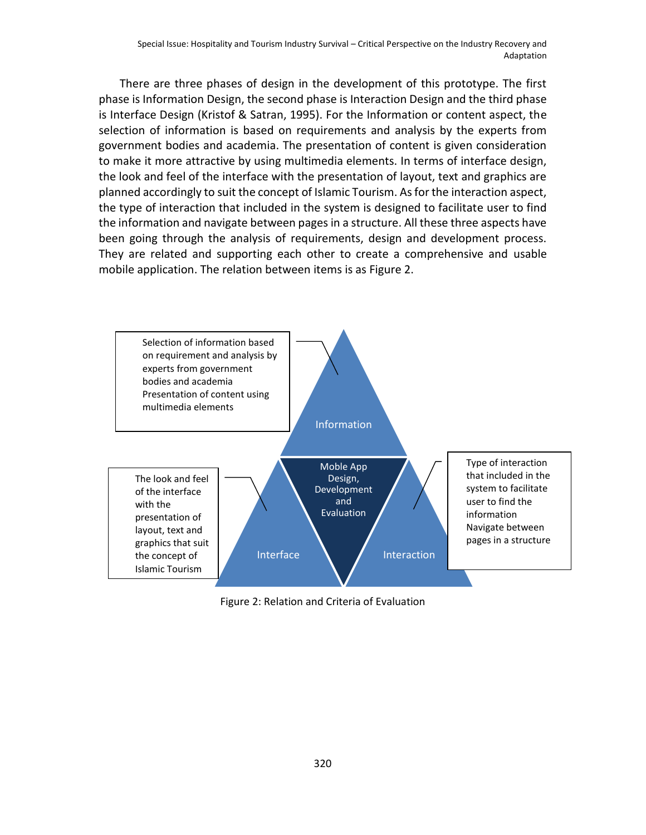There are three phases of design in the development of this prototype. The first phase is Information Design, the second phase is Interaction Design and the third phase is Interface Design (Kristof & Satran, 1995). For the Information or content aspect, the selection of information is based on requirements and analysis by the experts from government bodies and academia. The presentation of content is given consideration to make it more attractive by using multimedia elements. In terms of interface design, the look and feel of the interface with the presentation of layout, text and graphics are planned accordingly to suit the concept of Islamic Tourism. As for the interaction aspect, the type of interaction that included in the system is designed to facilitate user to find the information and navigate between pages in a structure. All these three aspects have been going through the analysis of requirements, design and development process. They are related and supporting each other to create a comprehensive and usable mobile application. The relation between items is as Figure 2.



Figure 2: Relation and Criteria of Evaluation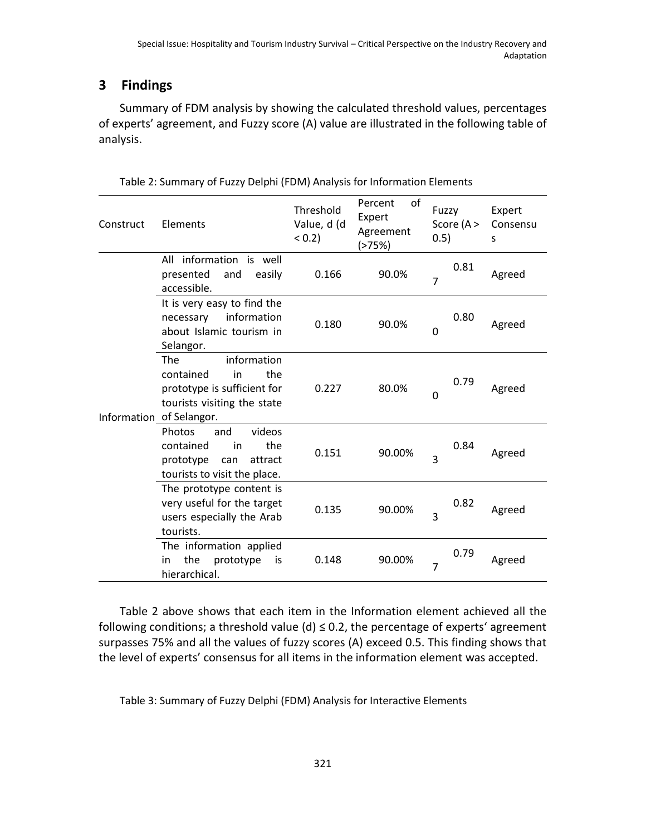# **3 Findings**

Summary of FDM analysis by showing the calculated threshold values, percentages of experts' agreement, and Fuzzy score (A) value are illustrated in the following table of analysis.

| Construct | Elements                                                                                                                                      | Threshold<br>Value, d (d<br>(0.2) | Percent<br>of<br>Expert<br>Agreement<br>(>75%) | Fuzzy<br>Score $(A >$<br>0.5) | Expert<br>Consensu<br>S |
|-----------|-----------------------------------------------------------------------------------------------------------------------------------------------|-----------------------------------|------------------------------------------------|-------------------------------|-------------------------|
|           | All information is well<br>presented<br>and<br>easily<br>accessible.                                                                          | 0.166                             | 90.0%                                          | 0.81<br>7                     | Agreed                  |
|           | It is very easy to find the<br>information<br>necessary<br>about Islamic tourism in<br>Selangor.                                              | 0.180                             | 90.0%                                          | 0.80<br>0                     | Agreed                  |
|           | information<br><b>The</b><br>the<br>contained<br>in<br>prototype is sufficient for<br>tourists visiting the state<br>Information of Selangor. | 0.227                             | 80.0%                                          | 0.79<br>0                     | Agreed                  |
|           | Photos<br>and<br>videos<br>contained<br>the<br>in<br>prototype<br>attract<br>can<br>tourists to visit the place.                              | 0.151                             | 90.00%                                         | 0.84<br>3                     | Agreed                  |
|           | The prototype content is<br>very useful for the target<br>users especially the Arab<br>tourists.                                              | 0.135                             | 90.00%                                         | 0.82<br>3                     | Agreed                  |
|           | The information applied<br>the<br>prototype<br>in<br>is<br>hierarchical.                                                                      | 0.148                             | 90.00%                                         | 0.79<br>7                     | Agreed                  |

Table 2: Summary of Fuzzy Delphi (FDM) Analysis for Information Elements

Table 2 above shows that each item in the Information element achieved all the following conditions; a threshold value (d)  $\leq$  0.2, the percentage of experts' agreement surpasses 75% and all the values of fuzzy scores (A) exceed 0.5. This finding shows that the level of experts' consensus for all items in the information element was accepted.

Table 3: Summary of Fuzzy Delphi (FDM) Analysis for Interactive Elements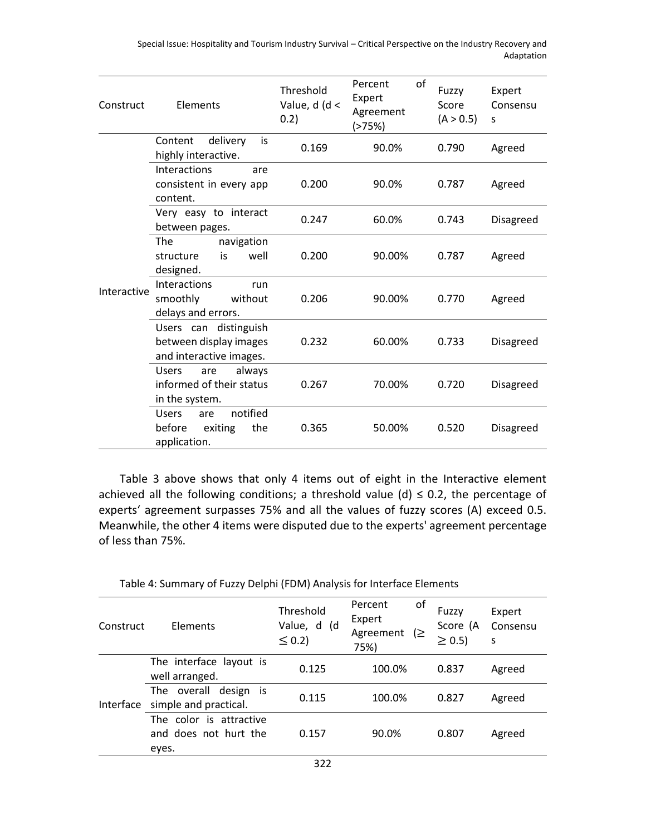Special Issue: Hospitality and Tourism Industry Survival – Critical Perspective on the Industry Recovery and Adaptation

| Construct   | Elements                                                                    | Threshold<br>Value, $d$ ( $d$ <<br>0.2) | of<br>Percent<br>Expert<br>Agreement<br>(>75%) | Fuzzy<br>Score<br>(A > 0.5) | Expert<br>Consensu<br>S |
|-------------|-----------------------------------------------------------------------------|-----------------------------------------|------------------------------------------------|-----------------------------|-------------------------|
|             | delivery<br>Content<br>is<br>highly interactive.                            | 0.169                                   | 90.0%                                          | 0.790                       | Agreed                  |
|             | Interactions<br>are<br>consistent in every app<br>content.                  | 0.200                                   | 90.0%                                          | 0.787                       | Agreed                  |
| Interactive | Very easy to interact<br>between pages.                                     | 0.247                                   | 60.0%                                          | 0.743                       | Disagreed               |
|             | navigation<br>The<br>well<br>structure<br>is<br>designed.                   | 0.200                                   | 90.00%                                         | 0.787                       | Agreed                  |
|             | Interactions<br>run<br>smoothly<br>without<br>delays and errors.            | 0.206                                   | 90.00%                                         | 0.770                       | Agreed                  |
|             | Users can distinguish<br>between display images<br>and interactive images.  | 0.232                                   | 60.00%                                         | 0.733                       | Disagreed               |
|             | <b>Users</b><br>always<br>are<br>informed of their status<br>in the system. | 0.267                                   | 70.00%                                         | 0.720                       | Disagreed               |
|             | notified<br><b>Users</b><br>are<br>the<br>before<br>exiting<br>application. | 0.365                                   | 50.00%                                         | 0.520                       | Disagreed               |

Table 3 above shows that only 4 items out of eight in the Interactive element achieved all the following conditions; a threshold value (d)  $\leq$  0.2, the percentage of experts' agreement surpasses 75% and all the values of fuzzy scores (A) exceed 0.5. Meanwhile, the other 4 items were disputed due to the experts' agreement percentage of less than 75%.

| Table 4: Summary of Fuzzy Delphi (FDM) Analysis for Interface Elements |  |  |  |  |
|------------------------------------------------------------------------|--|--|--|--|
|------------------------------------------------------------------------|--|--|--|--|

| Construct | Elements                                                  | Threshold<br>Value, d (d<br>$\leq$ 0.2) | οf<br>Percent<br>Expert<br>Agreement<br>(≥<br>75%) | Fuzzy<br>Score (A<br>$\geq$ 0.5) | Expert<br>Consensu<br>S |
|-----------|-----------------------------------------------------------|-----------------------------------------|----------------------------------------------------|----------------------------------|-------------------------|
| Interface | The interface layout is<br>well arranged.                 | 0.125                                   | 100.0%                                             | 0.837                            | Agreed                  |
|           | The overall design is<br>simple and practical.            | 0.115                                   | 100.0%                                             | 0.827                            | Agreed                  |
|           | The color is attractive<br>and does not hurt the<br>eyes. | 0.157                                   | 90.0%                                              | 0.807                            | Agreed                  |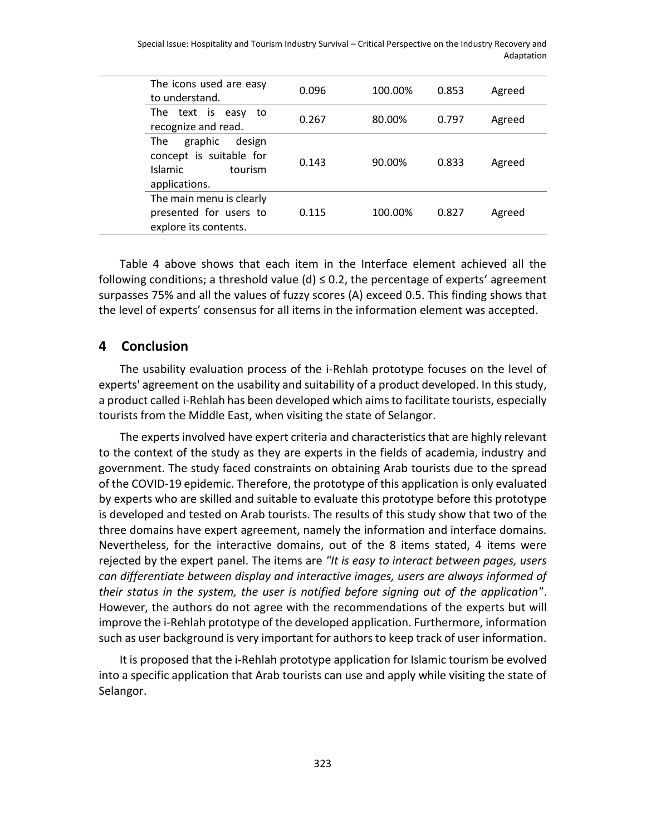Special Issue: Hospitality and Tourism Industry Survival – Critical Perspective on the Industry Recovery and Adaptation

| The icons used are easy<br>to understand.                                                         | 0.096 | 100.00% | 0.853 | Agreed |
|---------------------------------------------------------------------------------------------------|-------|---------|-------|--------|
| The text is<br>easy to<br>recognize and read.                                                     | 0.267 | 80.00%  | 0.797 | Agreed |
| graphic<br>design<br><b>The</b><br>concept is suitable for<br>Islamic<br>tourism<br>applications. | 0.143 | 90.00%  | 0.833 | Agreed |
| The main menu is clearly<br>presented for users to<br>explore its contents.                       | 0.115 | 100.00% | 0.827 | Agreed |

Table 4 above shows that each item in the Interface element achieved all the following conditions; a threshold value (d)  $\leq$  0.2, the percentage of experts' agreement surpasses 75% and all the values of fuzzy scores (A) exceed 0.5. This finding shows that the level of experts' consensus for all items in the information element was accepted.

## **4 Conclusion**

The usability evaluation process of the i-Rehlah prototype focuses on the level of experts' agreement on the usability and suitability of a product developed. In this study, a product called i-Rehlah has been developed which aims to facilitate tourists, especially tourists from the Middle East, when visiting the state of Selangor.

The experts involved have expert criteria and characteristics that are highly relevant to the context of the study as they are experts in the fields of academia, industry and government. The study faced constraints on obtaining Arab tourists due to the spread of the COVID-19 epidemic. Therefore, the prototype of this application is only evaluated by experts who are skilled and suitable to evaluate this prototype before this prototype is developed and tested on Arab tourists. The results of this study show that two of the three domains have expert agreement, namely the information and interface domains. Nevertheless, for the interactive domains, out of the 8 items stated, 4 items were rejected by the expert panel. The items are *"It is easy to interact between pages, users can differentiate between display and interactive images, users are always informed of their status in the system, the user is notified before signing out of the application"*. However, the authors do not agree with the recommendations of the experts but will improve the i-Rehlah prototype of the developed application. Furthermore, information such as user background is very important for authors to keep track of user information.

It is proposed that the i-Rehlah prototype application for Islamic tourism be evolved into a specific application that Arab tourists can use and apply while visiting the state of Selangor.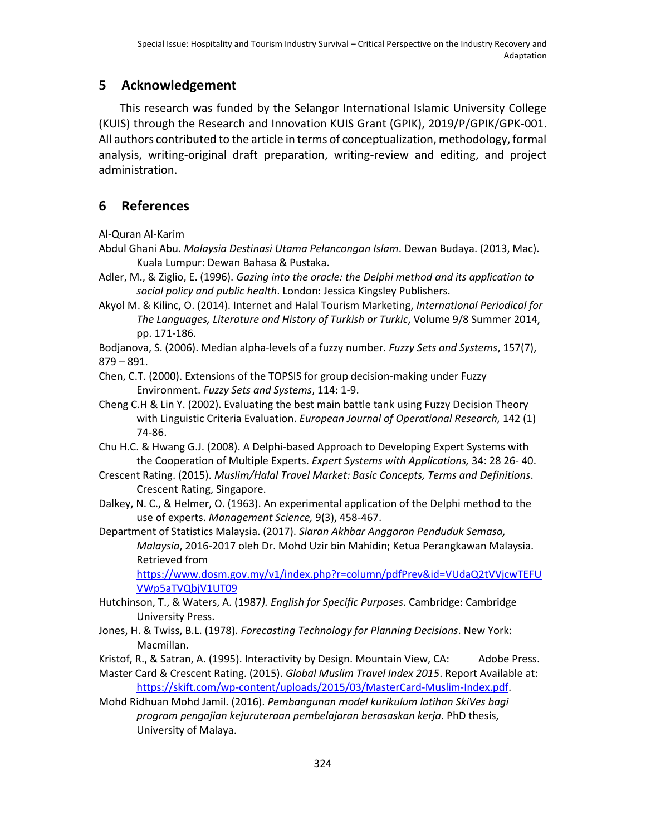# **5 Acknowledgement**

This research was funded by the Selangor International Islamic University College (KUIS) through the Research and Innovation KUIS Grant (GPIK), 2019/P/GPIK/GPK-001. All authors contributed to the article in terms of conceptualization, methodology, formal analysis, writing-original draft preparation, writing-review and editing, and project administration.

# **6 References**

Al-Quran Al-Karim

- Abdul Ghani Abu. *Malaysia Destinasi Utama Pelancongan Islam*. Dewan Budaya. (2013, Mac). Kuala Lumpur: Dewan Bahasa & Pustaka.
- Adler, M., & Ziglio, E. (1996). *Gazing into the oracle: the Delphi method and its application to social policy and public health*. London: Jessica Kingsley Publishers.
- Akyol M. & Kilinc, O. (2014). Internet and Halal Tourism Marketing, *International Periodical for The Languages, Literature and History of Turkish or Turkic*, Volume 9/8 Summer 2014, pp. 171-186.
- Bodjanova, S. (2006). Median alpha-levels of a fuzzy number. *Fuzzy Sets and Systems*, 157(7), 879 – 891.
- Chen, C.T. (2000). Extensions of the TOPSIS for group decision-making under Fuzzy Environment. *Fuzzy Sets and Systems*, 114: 1-9.
- Cheng C.H & Lin Y. (2002). Evaluating the best main battle tank using Fuzzy Decision Theory with Linguistic Criteria Evaluation. *European Journal of Operational Research,* 142 (1) 74-86.
- Chu H.C. & Hwang G.J. (2008). A Delphi-based Approach to Developing Expert Systems with the Cooperation of Multiple Experts. *Expert Systems with Applications,* 34: 28 26- 40.
- Crescent Rating. (2015). *Muslim/Halal Travel Market: Basic Concepts, Terms and Definitions*. Crescent Rating, Singapore.
- Dalkey, N. C., & Helmer, O. (1963). An experimental application of the Delphi method to the use of experts. *Management Science,* 9(3), 458-467.

Department of Statistics Malaysia. (2017). *Siaran Akhbar Anggaran Penduduk Semasa, Malaysia*, 2016-2017 oleh Dr. Mohd Uzir bin Mahidin; Ketua Perangkawan Malaysia. Retrieved from

https://www.dosm.gov.my/v1/index.php?r=column/pdfPrev&id=VUdaQ2tVVjcwTEFU VWp5aTVQbjV1UT09

- Hutchinson, T., & Waters, A. (1987*). English for Specific Purposes*. Cambridge: Cambridge University Press.
- Jones, H. & Twiss, B.L. (1978). *Forecasting Technology for Planning Decisions*. New York: Macmillan.
- Kristof, R., & Satran, A. (1995). Interactivity by Design. Mountain View, CA: Adobe Press.
- Master Card & Crescent Rating. (2015). *Global Muslim Travel Index 2015*. Report Available at: [https://skift.com/wp-content/uploads/2015/03/MasterCard-Muslim-Index.pdf.](https://skift.com/wp-content/uploads/2015/03/MasterCard-Muslim-Index.pdf)
- Mohd Ridhuan Mohd Jamil. (2016). *Pembangunan model kurikulum latihan SkiVes bagi program pengajian kejuruteraan pembelajaran berasaskan kerja*. PhD thesis, University of Malaya.